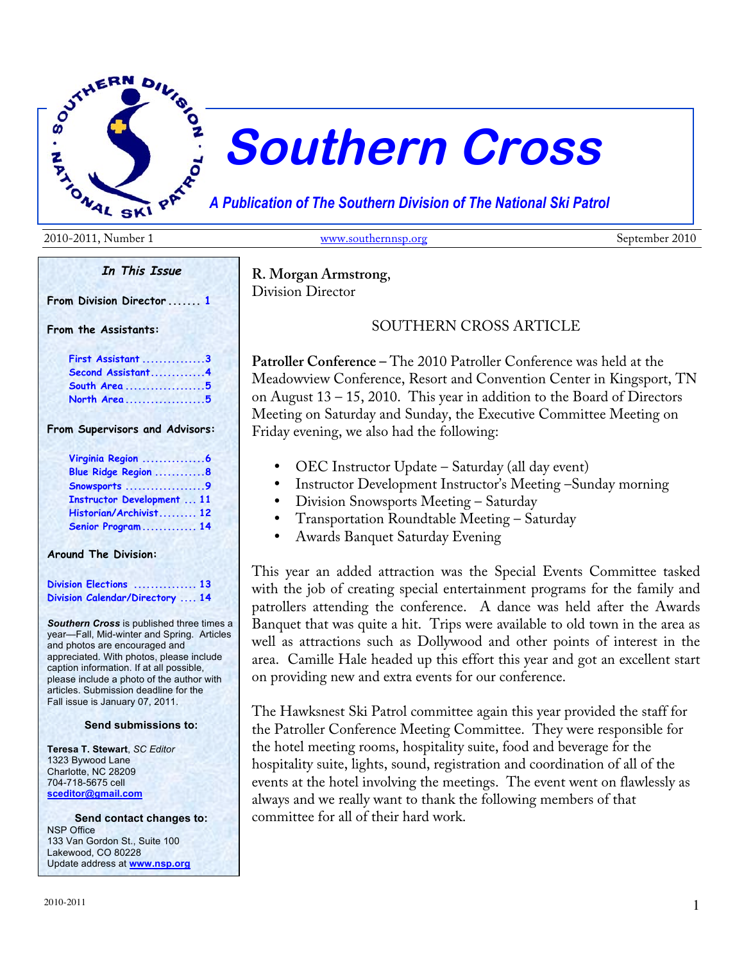

# **Southern Cross**

*A Publication of The Southern Division of The National Ski Patrol*

2010-2011, Number 1 www.southernnsp.org September 2010

**In This Issue**

**From Division Director ....... 1**

**From the Assistants:**

| First Assistant 3 |  |
|-------------------|--|
| Second Assistant4 |  |
| South Area5       |  |
| North Area5       |  |

**From Supervisors and Advisors:**

| Virginia Region 6                 |  |
|-----------------------------------|--|
| Blue Ridge Region 8               |  |
| Snowsports 9                      |  |
| <b>Instructor Development  11</b> |  |
| Historian/Archivist 12            |  |
| Senior Program 14                 |  |

**Around The Division:**

**Division Elections ............... 13 Division Calendar/Directory .... 14**

*Southern Cross* is published three times a year—Fall, Mid-winter and Spring. Articles and photos are encouraged and appreciated. With photos, please include caption information. If at all possible, please include a photo of the author with articles. Submission deadline for the Fall issue is January 07, 2011.

#### **Send submissions to:**

**Teresa T. Stewart**, *SC Editor* 1323 Bywood Lane Charlotte, NC 28209 704-718-5675 cell **sceditor@gmail.com**

**Send contact changes to:** NSP Office 133 Van Gordon St., Suite 100 Lakewood, CO 80228 Update address at **www.nsp.org**

**R. Morgan Armstrong**,

Division Director

SOUTHERN CROSS ARTICLE

**Patroller Conference –** The 2010 Patroller Conference was held at the Meadowview Conference, Resort and Convention Center in Kingsport, TN on August 13 – 15, 2010. This year in addition to the Board of Directors Meeting on Saturday and Sunday, the Executive Committee Meeting on Friday evening, we also had the following:

- OEC Instructor Update Saturday (all day event)
- Instructor Development Instructor's Meeting –Sunday morning
- Division Snowsports Meeting Saturday
- Transportation Roundtable Meeting Saturday
- Awards Banquet Saturday Evening

This year an added attraction was the Special Events Committee tasked with the job of creating special entertainment programs for the family and patrollers attending the conference. A dance was held after the Awards Banquet that was quite a hit. Trips were available to old town in the area as well as attractions such as Dollywood and other points of interest in the area. Camille Hale headed up this effort this year and got an excellent start on providing new and extra events for our conference.

The Hawksnest Ski Patrol committee again this year provided the staff for the Patroller Conference Meeting Committee. They were responsible for the hotel meeting rooms, hospitality suite, food and beverage for the hospitality suite, lights, sound, registration and coordination of all of the events at the hotel involving the meetings. The event went on flawlessly as always and we really want to thank the following members of that committee for all of their hard work.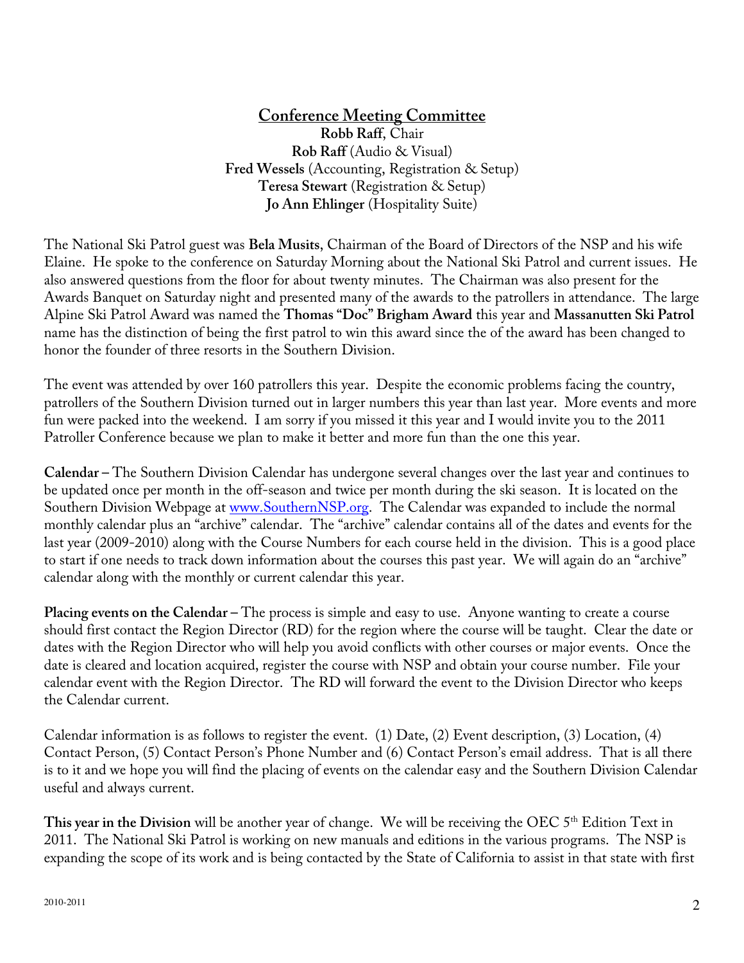# **Conference Meeting Committee**

**Robb Raff**, Chair **Rob Raff** (Audio & Visual) **Fred Wessels** (Accounting, Registration & Setup) **Teresa Stewart** (Registration & Setup) **Jo Ann Ehlinger** (Hospitality Suite)

The National Ski Patrol guest was **Bela Musits**, Chairman of the Board of Directors of the NSP and his wife Elaine. He spoke to the conference on Saturday Morning about the National Ski Patrol and current issues. He also answered questions from the floor for about twenty minutes. The Chairman was also present for the Awards Banquet on Saturday night and presented many of the awards to the patrollers in attendance. The large Alpine Ski Patrol Award was named the **Thomas "Doc" Brigham Award** this year and **Massanutten Ski Patrol** name has the distinction of being the first patrol to win this award since the of the award has been changed to honor the founder of three resorts in the Southern Division.

The event was attended by over 160 patrollers this year. Despite the economic problems facing the country, patrollers of the Southern Division turned out in larger numbers this year than last year. More events and more fun were packed into the weekend. I am sorry if you missed it this year and I would invite you to the 2011 Patroller Conference because we plan to make it better and more fun than the one this year.

**Calendar –** The Southern Division Calendar has undergone several changes over the last year and continues to be updated once per month in the off-season and twice per month during the ski season. It is located on the Southern Division Webpage at www.SouthernNSP.org. The Calendar was expanded to include the normal monthly calendar plus an "archive" calendar. The "archive" calendar contains all of the dates and events for the last year (2009-2010) along with the Course Numbers for each course held in the division. This is a good place to start if one needs to track down information about the courses this past year. We will again do an "archive" calendar along with the monthly or current calendar this year.

**Placing events on the Calendar –** The process is simple and easy to use. Anyone wanting to create a course should first contact the Region Director (RD) for the region where the course will be taught. Clear the date or dates with the Region Director who will help you avoid conflicts with other courses or major events. Once the date is cleared and location acquired, register the course with NSP and obtain your course number. File your calendar event with the Region Director. The RD will forward the event to the Division Director who keeps the Calendar current.

Calendar information is as follows to register the event. (1) Date, (2) Event description, (3) Location, (4) Contact Person, (5) Contact Person's Phone Number and (6) Contact Person's email address. That is all there is to it and we hope you will find the placing of events on the calendar easy and the Southern Division Calendar useful and always current.

This year in the Division will be another year of change. We will be receiving the OEC 5<sup>th</sup> Edition Text in 2011. The National Ski Patrol is working on new manuals and editions in the various programs. The NSP is expanding the scope of its work and is being contacted by the State of California to assist in that state with first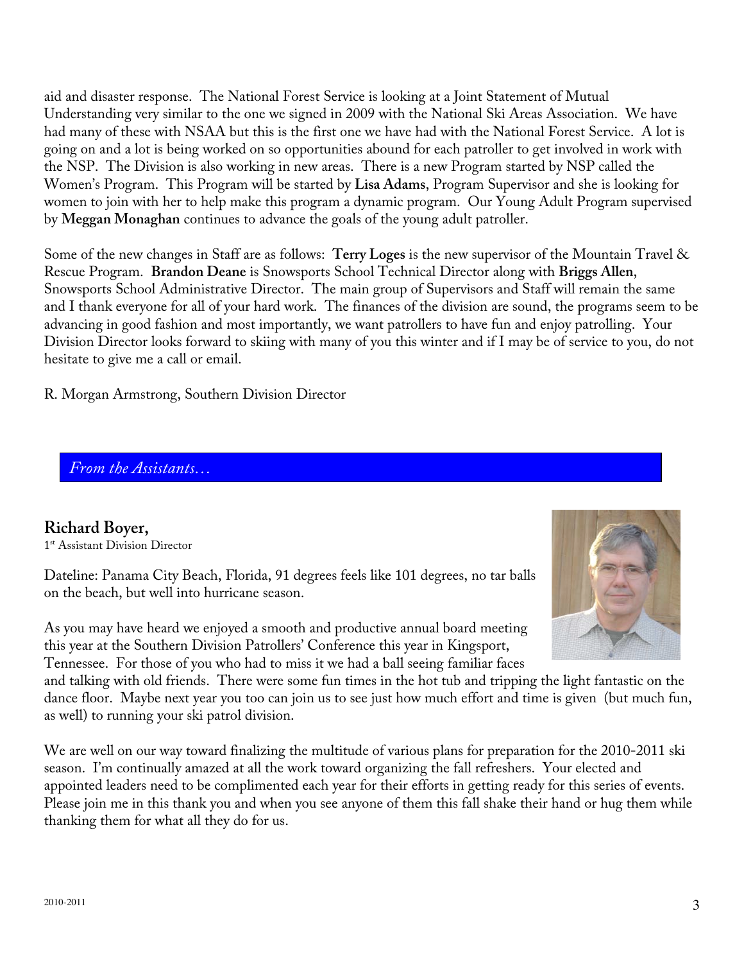aid and disaster response. The National Forest Service is looking at a Joint Statement of Mutual Understanding very similar to the one we signed in 2009 with the National Ski Areas Association. We have had many of these with NSAA but this is the first one we have had with the National Forest Service. A lot is going on and a lot is being worked on so opportunities abound for each patroller to get involved in work with the NSP. The Division is also working in new areas. There is a new Program started by NSP called the Women's Program. This Program will be started by **Lisa Adams**, Program Supervisor and she is looking for women to join with her to help make this program a dynamic program. Our Young Adult Program supervised by **Meggan Monaghan** continues to advance the goals of the young adult patroller.

Some of the new changes in Staff are as follows: **Terry Loges** is the new supervisor of the Mountain Travel & Rescue Program. **Brandon Deane** is Snowsports School Technical Director along with **Briggs Allen**, Snowsports School Administrative Director. The main group of Supervisors and Staff will remain the same and I thank everyone for all of your hard work. The finances of the division are sound, the programs seem to be advancing in good fashion and most importantly, we want patrollers to have fun and enjoy patrolling. Your Division Director looks forward to skiing with many of you this winter and if I may be of service to you, do not hesitate to give me a call or email.

R. Morgan Armstrong, Southern Division Director

*From the Assistants…*

# **Richard Boyer,**

1<sup>st</sup> Assistant Division Director

Dateline: Panama City Beach, Florida, 91 degrees feels like 101 degrees, no tar balls on the beach, but well into hurricane season.

As you may have heard we enjoyed a smooth and productive annual board meeting this year at the Southern Division Patrollers' Conference this year in Kingsport, Tennessee. For those of you who had to miss it we had a ball seeing familiar faces



and talking with old friends. There were some fun times in the hot tub and tripping the light fantastic on the dance floor. Maybe next year you too can join us to see just how much effort and time is given (but much fun, as well) to running your ski patrol division.

We are well on our way toward finalizing the multitude of various plans for preparation for the 2010-2011 ski season. I'm continually amazed at all the work toward organizing the fall refreshers. Your elected and appointed leaders need to be complimented each year for their efforts in getting ready for this series of events. Please join me in this thank you and when you see anyone of them this fall shake their hand or hug them while thanking them for what all they do for us.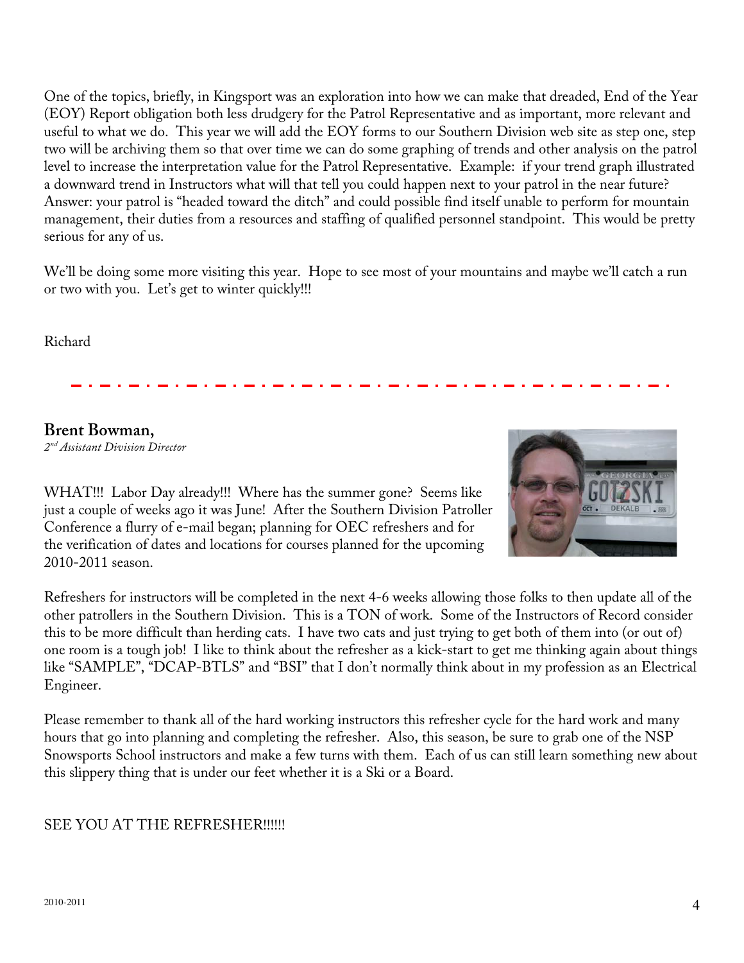One of the topics, briefly, in Kingsport was an exploration into how we can make that dreaded, End of the Year (EOY) Report obligation both less drudgery for the Patrol Representative and as important, more relevant and useful to what we do. This year we will add the EOY forms to our Southern Division web site as step one, step two will be archiving them so that over time we can do some graphing of trends and other analysis on the patrol level to increase the interpretation value for the Patrol Representative. Example: if your trend graph illustrated a downward trend in Instructors what will that tell you could happen next to your patrol in the near future? Answer: your patrol is "headed toward the ditch" and could possible find itself unable to perform for mountain management, their duties from a resources and staffing of qualified personnel standpoint. This would be pretty serious for any of us.

We'll be doing some more visiting this year. Hope to see most of your mountains and maybe we'll catch a run or two with you. Let's get to winter quickly!!!

Richard

# **Brent Bowman,**

*2nd Assistant Division Director*



WHAT!!! Labor Day already!!! Where has the summer gone? Seems like just a couple of weeks ago it was June! After the Southern Division Patroller Conference a flurry of e-mail began; planning for OEC refreshers and for the verification of dates and locations for courses planned for the upcoming 2010-2011 season.

Refreshers for instructors will be completed in the next 4-6 weeks allowing those folks to then update all of the other patrollers in the Southern Division. This is a TON of work. Some of the Instructors of Record consider this to be more difficult than herding cats. I have two cats and just trying to get both of them into (or out of) one room is a tough job! I like to think about the refresher as a kick-start to get me thinking again about things like "SAMPLE", "DCAP-BTLS" and "BSI" that I don't normally think about in my profession as an Electrical Engineer.

Please remember to thank all of the hard working instructors this refresher cycle for the hard work and many hours that go into planning and completing the refresher. Also, this season, be sure to grab one of the NSP Snowsports School instructors and make a few turns with them. Each of us can still learn something new about this slippery thing that is under our feet whether it is a Ski or a Board.

# SEE YOU AT THE REFRESHER!!!!!!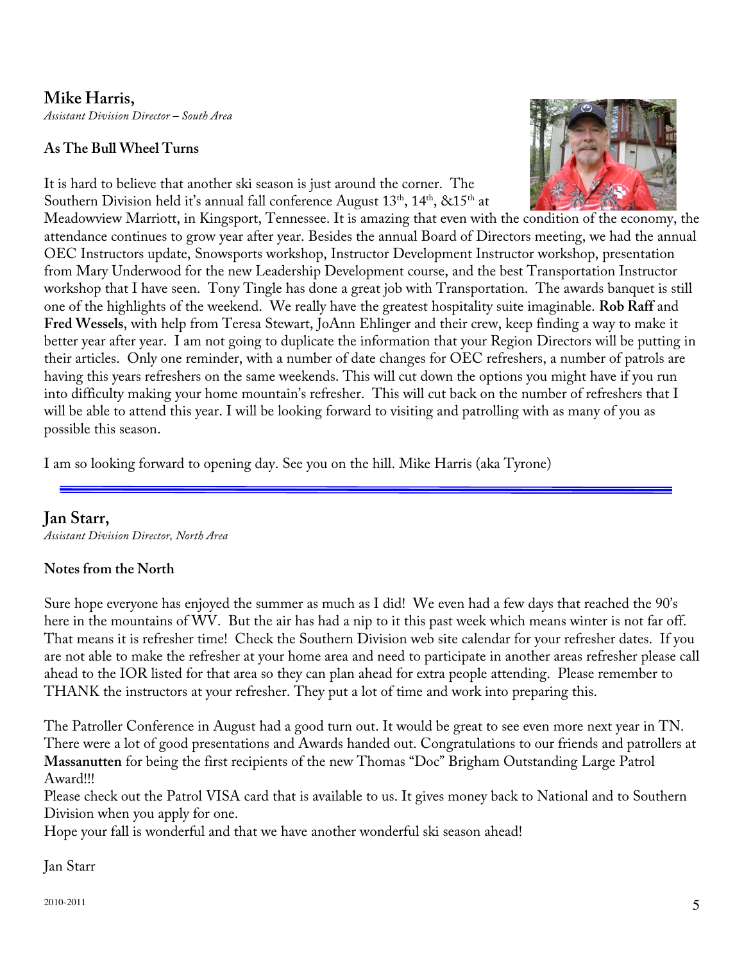**Mike Harris,** *Assistant Division Director – South Area*

#### **As The Bull Wheel Turns**

It is hard to believe that another ski season is just around the corner. The Southern Division held it's annual fall conference August  $13<sup>th</sup>$ ,  $14<sup>th</sup>$ ,  $&215<sup>th</sup>$  at



Meadowview Marriott, in Kingsport, Tennessee. It is amazing that even with the condition of the economy, the attendance continues to grow year after year. Besides the annual Board of Directors meeting, we had the annual OEC Instructors update, Snowsports workshop, Instructor Development Instructor workshop, presentation from Mary Underwood for the new Leadership Development course, and the best Transportation Instructor workshop that I have seen. Tony Tingle has done a great job with Transportation. The awards banquet is still one of the highlights of the weekend. We really have the greatest hospitality suite imaginable. **Rob Raff** and **Fred Wessels**, with help from Teresa Stewart, JoAnn Ehlinger and their crew, keep finding a way to make it better year after year. I am not going to duplicate the information that your Region Directors will be putting in their articles. Only one reminder, with a number of date changes for OEC refreshers, a number of patrols are having this years refreshers on the same weekends. This will cut down the options you might have if you run into difficulty making your home mountain's refresher. This will cut back on the number of refreshers that I will be able to attend this year. I will be looking forward to visiting and patrolling with as many of you as possible this season.

I am so looking forward to opening day. See you on the hill. Mike Harris (aka Tyrone)

# **Jan Starr,**

*Assistant Division Director, North Area*

#### **Notes from the North**

Sure hope everyone has enjoyed the summer as much as I did! We even had a few days that reached the 90's here in the mountains of WV. But the air has had a nip to it this past week which means winter is not far off. That means it is refresher time! Check the Southern Division web site calendar for your refresher dates. If you are not able to make the refresher at your home area and need to participate in another areas refresher please call ahead to the IOR listed for that area so they can plan ahead for extra people attending. Please remember to THANK the instructors at your refresher. They put a lot of time and work into preparing this.

The Patroller Conference in August had a good turn out. It would be great to see even more next year in TN. There were a lot of good presentations and Awards handed out. Congratulations to our friends and patrollers at **Massanutten** for being the first recipients of the new Thomas "Doc" Brigham Outstanding Large Patrol Award!!!

Please check out the Patrol VISA card that is available to us. It gives money back to National and to Southern Division when you apply for one.

Hope your fall is wonderful and that we have another wonderful ski season ahead!

Jan Starr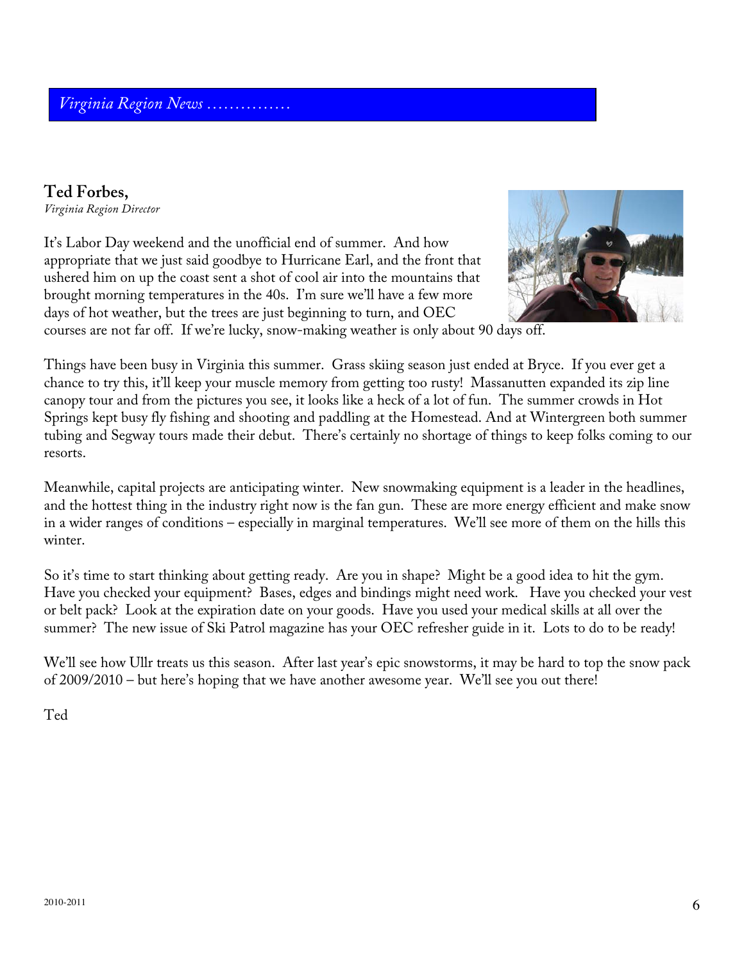# **Ted Forbes,**

*Virginia Region Director*

It's Labor Day weekend and the unofficial end of summer. And how appropriate that we just said goodbye to Hurricane Earl, and the front that ushered him on up the coast sent a shot of cool air into the mountains that brought morning temperatures in the 40s. I'm sure we'll have a few more days of hot weather, but the trees are just beginning to turn, and OEC



courses are not far off. If we're lucky, snow-making weather is only about 90 days off.

Things have been busy in Virginia this summer. Grass skiing season just ended at Bryce. If you ever get a chance to try this, it'll keep your muscle memory from getting too rusty! Massanutten expanded its zip line canopy tour and from the pictures you see, it looks like a heck of a lot of fun. The summer crowds in Hot Springs kept busy fly fishing and shooting and paddling at the Homestead. And at Wintergreen both summer tubing and Segway tours made their debut. There's certainly no shortage of things to keep folks coming to our resorts.

Meanwhile, capital projects are anticipating winter. New snowmaking equipment is a leader in the headlines, and the hottest thing in the industry right now is the fan gun. These are more energy efficient and make snow in a wider ranges of conditions – especially in marginal temperatures. We'll see more of them on the hills this winter.

So it's time to start thinking about getting ready. Are you in shape? Might be a good idea to hit the gym. Have you checked your equipment? Bases, edges and bindings might need work. Have you checked your vest or belt pack? Look at the expiration date on your goods. Have you used your medical skills at all over the summer? The new issue of Ski Patrol magazine has your OEC refresher guide in it. Lots to do to be ready!

We'll see how Ullr treats us this season. After last year's epic snowstorms, it may be hard to top the snow pack of 2009/2010 – but here's hoping that we have another awesome year. We'll see you out there!

Ted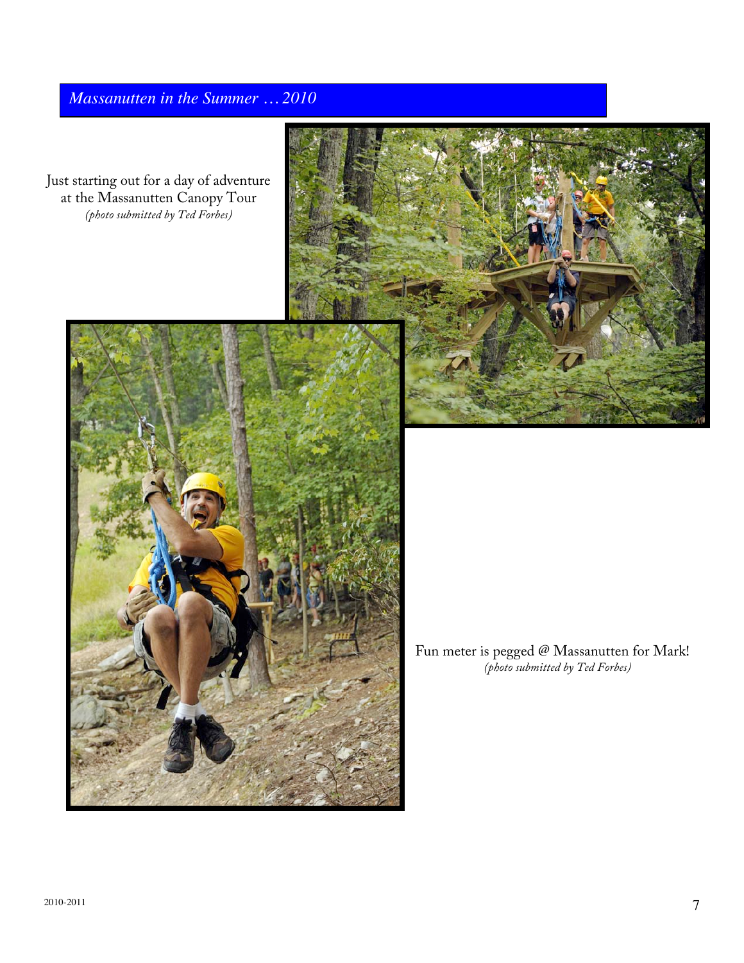# *Massanutten in the Summer … 2010*

Just starting out for a day of adventure at the Massanutten Canopy Tour *(photo submitted by Ted Forbes)*





Fun meter is pegged  $\mathcal Q$  Massanutten for Mark! *(photo submitted by Ted Forbes)*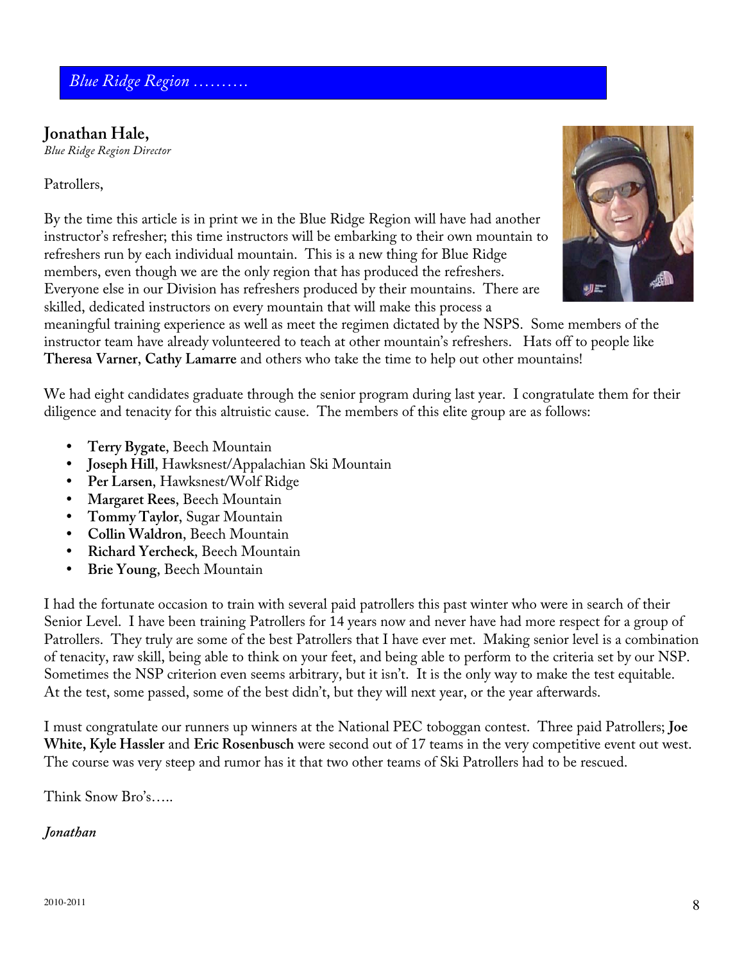# **Jonathan Hale,**

*Blue Ridge Region Director*

#### Patrollers,

By the time this article is in print we in the Blue Ridge Region will have had another instructor's refresher; this time instructors will be embarking to their own mountain to refreshers run by each individual mountain. This is a new thing for Blue Ridge members, even though we are the only region that has produced the refreshers. Everyone else in our Division has refreshers produced by their mountains. There are skilled, dedicated instructors on every mountain that will make this process a



meaningful training experience as well as meet the regimen dictated by the NSPS. Some members of the instructor team have already volunteered to teach at other mountain's refreshers. Hats off to people like **Theresa Varner**, **Cathy Lamarre** and others who take the time to help out other mountains!

We had eight candidates graduate through the senior program during last year. I congratulate them for their diligence and tenacity for this altruistic cause. The members of this elite group are as follows:

- **Terry Bygate**, Beech Mountain
- **Joseph Hill**, Hawksnest/Appalachian Ski Mountain
- **Per Larsen**, Hawksnest/Wolf Ridge
- **Margaret Rees**, Beech Mountain
- **Tommy Taylor**, Sugar Mountain
- **Collin Waldron**, Beech Mountain
- **Richard Yercheck**, Beech Mountain
- **Brie Young**, Beech Mountain

I had the fortunate occasion to train with several paid patrollers this past winter who were in search of their Senior Level. I have been training Patrollers for 14 years now and never have had more respect for a group of Patrollers. They truly are some of the best Patrollers that I have ever met. Making senior level is a combination of tenacity, raw skill, being able to think on your feet, and being able to perform to the criteria set by our NSP. Sometimes the NSP criterion even seems arbitrary, but it isn't. It is the only way to make the test equitable. At the test, some passed, some of the best didn't, but they will next year, or the year afterwards.

I must congratulate our runners up winners at the National PEC toboggan contest. Three paid Patrollers; **Joe White, Kyle Hassler** and **Eric Rosenbusch** were second out of 17 teams in the very competitive event out west. The course was very steep and rumor has it that two other teams of Ski Patrollers had to be rescued.

Think Snow Bro's…..

#### *Jonathan*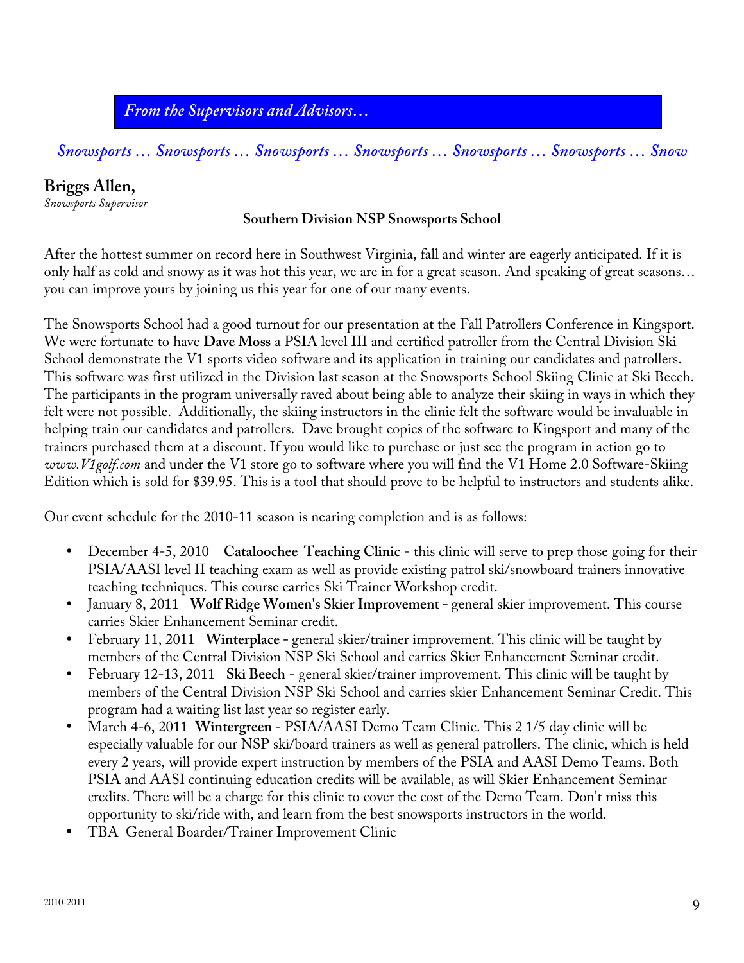*From the Supervisors and Advisors…*

*Snowsports … Snowsports … Snowsports … Snowsports … Snowsports … Snowsports … Snow*

# **Briggs Allen,**

*Snowsports Supervisor*

#### **Southern Division NSP Snowsports School**

After the hottest summer on record here in Southwest Virginia, fall and winter are eagerly anticipated. If it is only half as cold and snowy as it was hot this year, we are in for a great season. And speaking of great seasons… you can improve yours by joining us this year for one of our many events.

The Snowsports School had a good turnout for our presentation at the Fall Patrollers Conference in Kingsport. We were fortunate to have **Dave Moss** a PSIA level III and certified patroller from the Central Division Ski School demonstrate the V1 sports video software and its application in training our candidates and patrollers. This software was first utilized in the Division last season at the Snowsports School Skiing Clinic at Ski Beech. The participants in the program universally raved about being able to analyze their skiing in ways in which they felt were not possible. Additionally, the skiing instructors in the clinic felt the software would be invaluable in helping train our candidates and patrollers. Dave brought copies of the software to Kingsport and many of the trainers purchased them at a discount. If you would like to purchase or just see the program in action go to *www.V1golf.com* and under the V1 store go to software where you will find the V1 Home 2.0 Software-Skiing Edition which is sold for \$39.95. This is a tool that should prove to be helpful to instructors and students alike.

Our event schedule for the 2010-11 season is nearing completion and is as follows:

- December 4-5, 2010 Cataloochee Teaching Clinic this clinic will serve to prep those going for their PSIA/AASI level II teaching exam as well as provide existing patrol ski/snowboard trainers innovative teaching techniques. This course carries Ski Trainer Workshop credit.
- January 8, 2011 **Wolf Ridge Women's Skier Improvement** general skier improvement. This course carries Skier Enhancement Seminar credit.
- February 11, 2011 **Winterplace** general skier/trainer improvement. This clinic will be taught by members of the Central Division NSP Ski School and carries Skier Enhancement Seminar credit.
- February 12-13, 2011 **Ski Beech** general skier/trainer improvement. This clinic will be taught by members of the Central Division NSP Ski School and carries skier Enhancement Seminar Credit. This program had a waiting list last year so register early.
- March 4-6, 2011 **Wintergreen -** PSIA/AASI Demo Team Clinic. This 2 1/5 day clinic will be especially valuable for our NSP ski/board trainers as well as general patrollers. The clinic, which is held every 2 years, will provide expert instruction by members of the PSIA and AASI Demo Teams. Both PSIA and AASI continuing education credits will be available, as will Skier Enhancement Seminar credits. There will be a charge for this clinic to cover the cost of the Demo Team. Don't miss this opportunity to ski/ride with, and learn from the best snowsports instructors in the world.
- TBA General Boarder/Trainer Improvement Clinic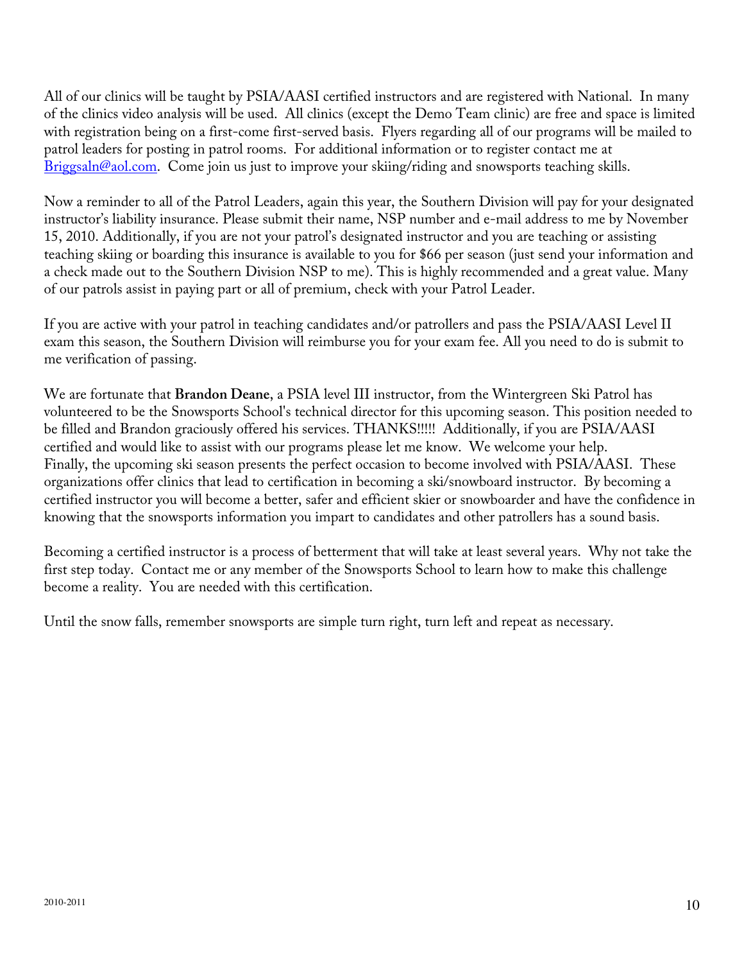All of our clinics will be taught by PSIA/AASI certified instructors and are registered with National. In many of the clinics video analysis will be used. All clinics (except the Demo Team clinic) are free and space is limited with registration being on a first-come first-served basis. Flyers regarding all of our programs will be mailed to patrol leaders for posting in patrol rooms. For additional information or to register contact me at Briggsaln@aol.com. Come join us just to improve your skiing/riding and snowsports teaching skills.

Now a reminder to all of the Patrol Leaders, again this year, the Southern Division will pay for your designated instructor's liability insurance. Please submit their name, NSP number and e-mail address to me by November 15, 2010. Additionally, if you are not your patrol's designated instructor and you are teaching or assisting teaching skiing or boarding this insurance is available to you for \$66 per season (just send your information and a check made out to the Southern Division NSP to me). This is highly recommended and a great value. Many of our patrols assist in paying part or all of premium, check with your Patrol Leader.

If you are active with your patrol in teaching candidates and/or patrollers and pass the PSIA/AASI Level II exam this season, the Southern Division will reimburse you for your exam fee. All you need to do is submit to me verification of passing.

We are fortunate that **Brandon Deane**, a PSIA level III instructor, from the Wintergreen Ski Patrol has volunteered to be the Snowsports School's technical director for this upcoming season. This position needed to be filled and Brandon graciously offered his services. THANKS!!!!! Additionally, if you are PSIA/AASI certified and would like to assist with our programs please let me know. We welcome your help. Finally, the upcoming ski season presents the perfect occasion to become involved with PSIA/AASI. These organizations offer clinics that lead to certification in becoming a ski/snowboard instructor. By becoming a certified instructor you will become a better, safer and efficient skier or snowboarder and have the confidence in knowing that the snowsports information you impart to candidates and other patrollers has a sound basis.

Becoming a certified instructor is a process of betterment that will take at least several years. Why not take the first step today. Contact me or any member of the Snowsports School to learn how to make this challenge become a reality. You are needed with this certification.

Until the snow falls, remember snowsports are simple turn right, turn left and repeat as necessary.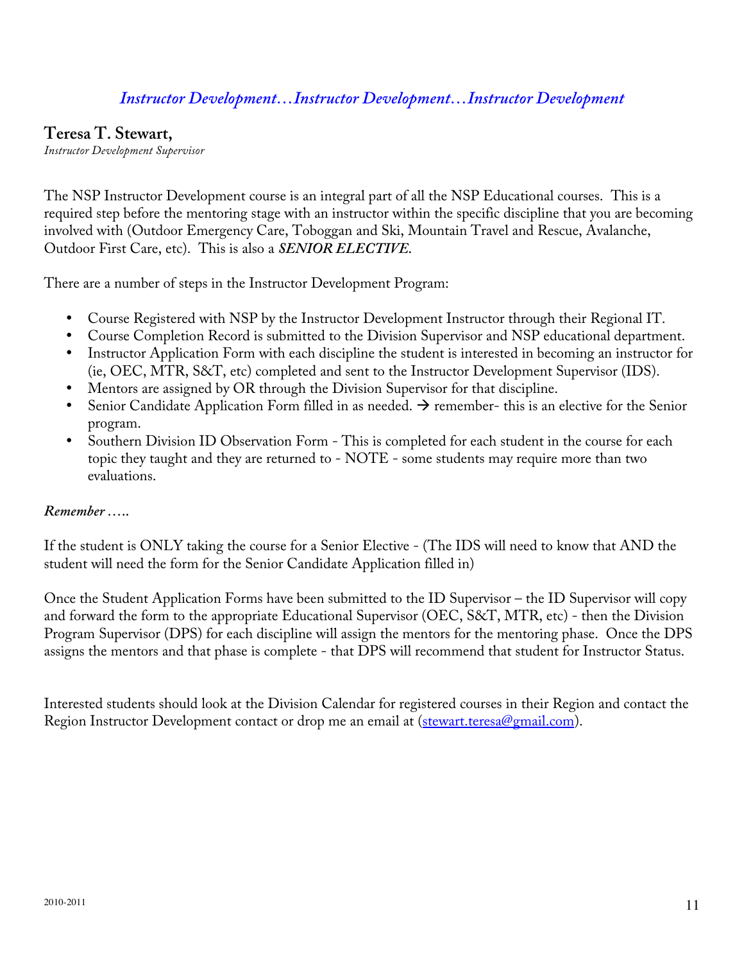# *Instructor Development…Instructor Development…Instructor Development*

#### **Teresa T. Stewart,**

*Instructor Development Supervisor*

The NSP Instructor Development course is an integral part of all the NSP Educational courses. This is a required step before the mentoring stage with an instructor within the specific discipline that you are becoming involved with (Outdoor Emergency Care, Toboggan and Ski, Mountain Travel and Rescue, Avalanche, Outdoor First Care, etc). This is also a *SENIOR ELECTIVE.*

There are a number of steps in the Instructor Development Program:

- Course Registered with NSP by the Instructor Development Instructor through their Regional IT.
- Course Completion Record is submitted to the Division Supervisor and NSP educational department.
- Instructor Application Form with each discipline the student is interested in becoming an instructor for (ie, OEC, MTR, S&T, etc) completed and sent to the Instructor Development Supervisor (IDS).
- Mentors are assigned by OR through the Division Supervisor for that discipline.
- Senior Candidate Application Form filled in as needed.  $\rightarrow$  remember- this is an elective for the Senior program.
- Southern Division ID Observation Form This is completed for each student in the course for each topic they taught and they are returned to - NOTE - some students may require more than two evaluations.

#### *Remember …..*

If the student is ONLY taking the course for a Senior Elective - (The IDS will need to know that AND the student will need the form for the Senior Candidate Application filled in)

Once the Student Application Forms have been submitted to the ID Supervisor – the ID Supervisor will copy and forward the form to the appropriate Educational Supervisor (OEC, S&T, MTR, etc) - then the Division Program Supervisor (DPS) for each discipline will assign the mentors for the mentoring phase. Once the DPS assigns the mentors and that phase is complete - that DPS will recommend that student for Instructor Status.

Interested students should look at the Division Calendar for registered courses in their Region and contact the Region Instructor Development contact or drop me an email at (stewart.teresa@gmail.com).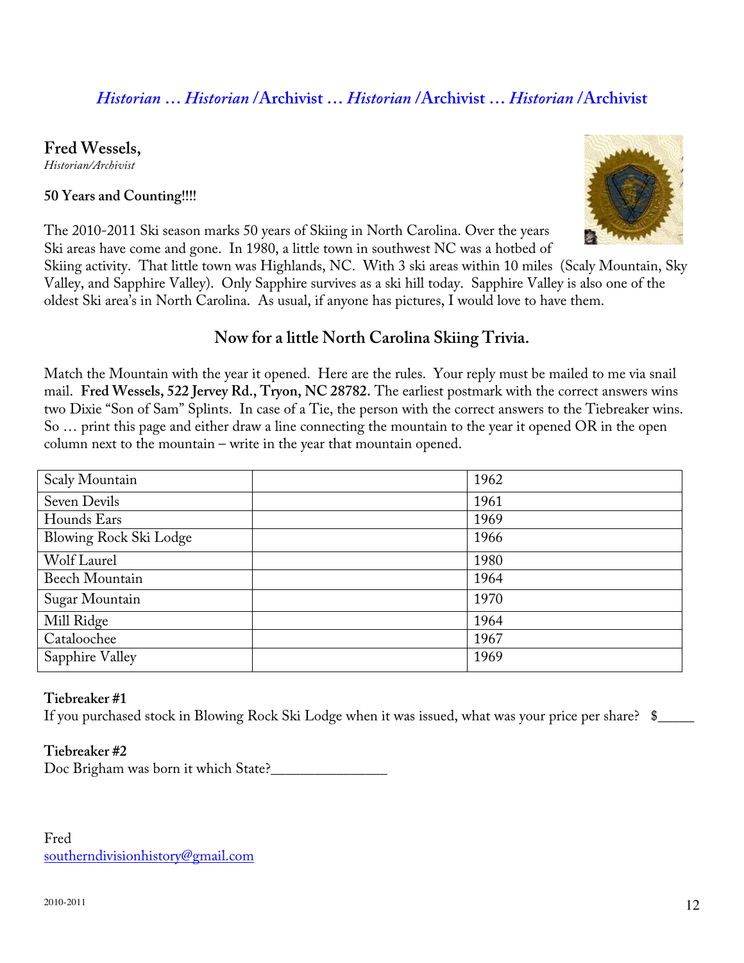# *Historian* **…** *Historian* **/Archivist …** *Historian* **/Archivist …** *Historian* **/Archivist**

#### **Fred Wessels,**

*Historian/Archivist*

#### **50 Years and Counting!!!!**



The 2010-2011 Ski season marks 50 years of Skiing in North Carolina. Over the years Ski areas have come and gone. In 1980, a little town in southwest NC was a hotbed of

Skiing activity. That little town was Highlands, NC. With 3 ski areas within 10 miles (Scaly Mountain, Sky Valley, and Sapphire Valley). Only Sapphire survives as a ski hill today. Sapphire Valley is also one of the oldest Ski area's in North Carolina. As usual, if anyone has pictures, I would love to have them.

# **Now for a little North Carolina Skiing Trivia.**

Match the Mountain with the year it opened. Here are the rules. Your reply must be mailed to me via snail mail. **Fred Wessels, 522 Jervey Rd., Tryon, NC 28782.** The earliest postmark with the correct answers wins two Dixie "Son of Sam" Splints. In case of a Tie, the person with the correct answers to the Tiebreaker wins. So … print this page and either draw a line connecting the mountain to the year it opened OR in the open column next to the mountain – write in the year that mountain opened.

| Scaly Mountain         | 1962 |
|------------------------|------|
| Seven Devils           | 1961 |
| Hounds Ears            | 1969 |
| Blowing Rock Ski Lodge | 1966 |
| Wolf Laurel            | 1980 |
| <b>Beech Mountain</b>  | 1964 |
| Sugar Mountain         | 1970 |
| Mill Ridge             | 1964 |
| Cataloochee            | 1967 |
| Sapphire Valley        | 1969 |

#### **Tiebreaker #1**

If you purchased stock in Blowing Rock Ski Lodge when it was issued, what was your price per share?  $\quad$ 

#### **Tiebreaker #2**

Doc Brigham was born it which State?

Fred southerndivisionhistory@gmail.com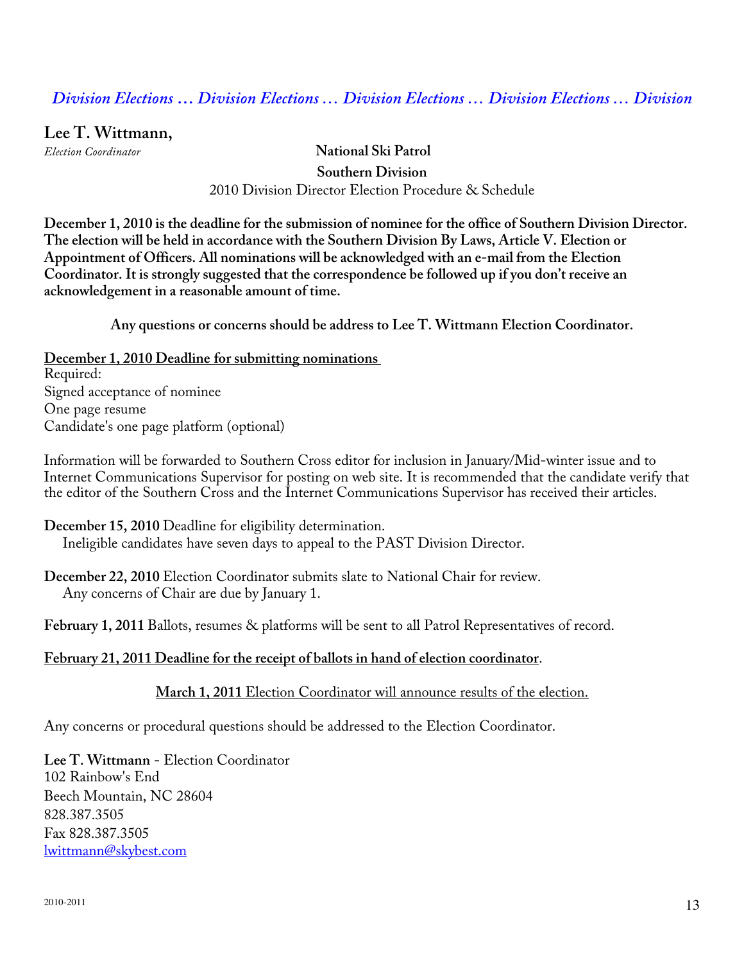# *Division Elections* **…** *Division Elections … Division Elections … Division Elections … Division*

**Lee T. Wittmann,** 

*Election Coordinator* **National Ski Patrol Southern Division**  2010 Division Director Election Procedure & Schedule

**December 1, 2010 is the deadline for the submission of nominee for the office of Southern Division Director. The election will be held in accordance with the Southern Division By Laws, Article V. Election or Appointment of Officers. All nominations will be acknowledged with an e-mail from the Election Coordinator. It is strongly suggested that the correspondence be followed up if you don't receive an acknowledgement in a reasonable amount of time.** 

**Any questions or concerns should be address to Lee T. Wittmann Election Coordinator.** 

**December 1, 2010 Deadline for submitting nominations**  Required: Signed acceptance of nominee One page resume Candidate's one page platform (optional)

Information will be forwarded to Southern Cross editor for inclusion in January/Mid-winter issue and to Internet Communications Supervisor for posting on web site. It is recommended that the candidate verify that the editor of the Southern Cross and the Internet Communications Supervisor has received their articles.

**December 15, 2010** Deadline for eligibility determination. Ineligible candidates have seven days to appeal to the PAST Division Director.

**December 22, 2010** Election Coordinator submits slate to National Chair for review. Any concerns of Chair are due by January 1.

**February 1, 2011** Ballots, resumes & platforms will be sent to all Patrol Representatives of record.

#### **February 21, 2011 Deadline for the receipt of ballots in hand of election coordinator**.

#### **March 1, 2011** Election Coordinator will announce results of the election.

Any concerns or procedural questions should be addressed to the Election Coordinator.

**Lee T. Wittmann** - Election Coordinator 102 Rainbow's End Beech Mountain, NC 28604 828.387.3505 Fax 828.387.3505 lwittmann@skybest.com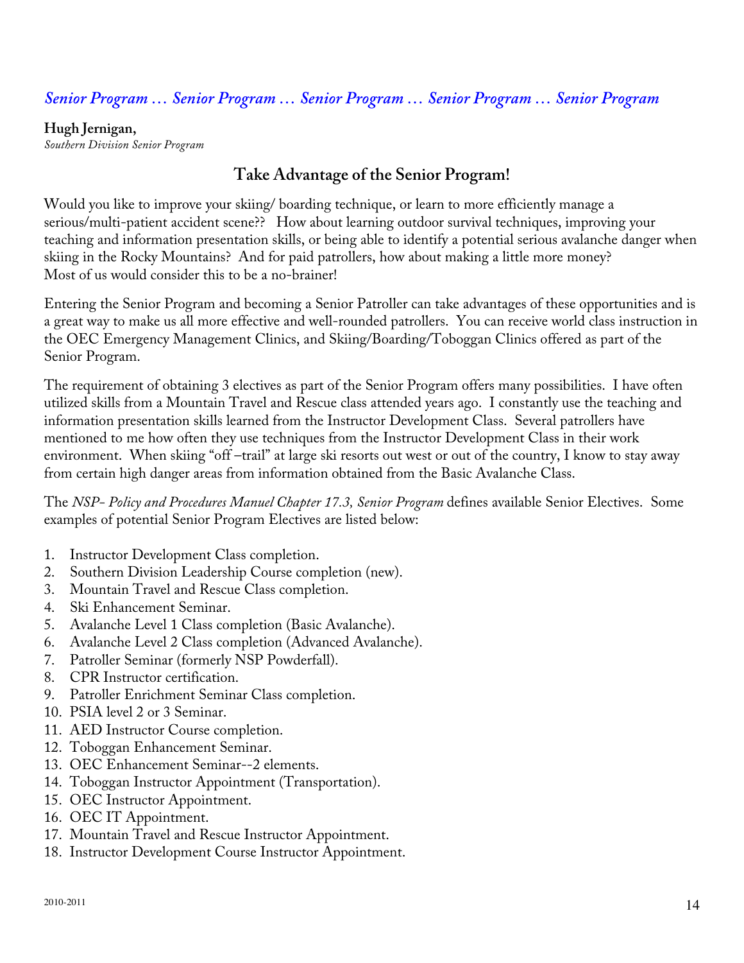# *Senior Program … Senior Program … Senior Program … Senior Program … Senior Program*

#### **Hugh Jernigan,**

*Southern Division Senior Program*

# **Take Advantage of the Senior Program!**

Would you like to improve your skiing/ boarding technique, or learn to more efficiently manage a serious/multi-patient accident scene?? How about learning outdoor survival techniques, improving your teaching and information presentation skills, or being able to identify a potential serious avalanche danger when skiing in the Rocky Mountains? And for paid patrollers, how about making a little more money? Most of us would consider this to be a no-brainer!

Entering the Senior Program and becoming a Senior Patroller can take advantages of these opportunities and is a great way to make us all more effective and well-rounded patrollers. You can receive world class instruction in the OEC Emergency Management Clinics, and Skiing/Boarding/Toboggan Clinics offered as part of the Senior Program.

The requirement of obtaining 3 electives as part of the Senior Program offers many possibilities. I have often utilized skills from a Mountain Travel and Rescue class attended years ago. I constantly use the teaching and information presentation skills learned from the Instructor Development Class. Several patrollers have mentioned to me how often they use techniques from the Instructor Development Class in their work environment. When skiing "off –trail" at large ski resorts out west or out of the country, I know to stay away from certain high danger areas from information obtained from the Basic Avalanche Class.

The *NSP- Policy and Procedures Manuel Chapter 17.3, Senior Program* defines available Senior Electives. Some examples of potential Senior Program Electives are listed below:

- 1. Instructor Development Class completion.
- 2. Southern Division Leadership Course completion (new).
- 3. Mountain Travel and Rescue Class completion.
- 4. Ski Enhancement Seminar.
- 5. Avalanche Level 1 Class completion (Basic Avalanche).
- 6. Avalanche Level 2 Class completion (Advanced Avalanche).
- 7. Patroller Seminar (formerly NSP Powderfall).
- 8. CPR Instructor certification.
- 9. Patroller Enrichment Seminar Class completion.
- 10. PSIA level 2 or 3 Seminar.
- 11. AED Instructor Course completion.
- 12. Toboggan Enhancement Seminar.
- 13. OEC Enhancement Seminar--2 elements.
- 14. Toboggan Instructor Appointment (Transportation).
- 15. OEC Instructor Appointment.
- 16. OEC IT Appointment.
- 17. Mountain Travel and Rescue Instructor Appointment.
- 18. Instructor Development Course Instructor Appointment.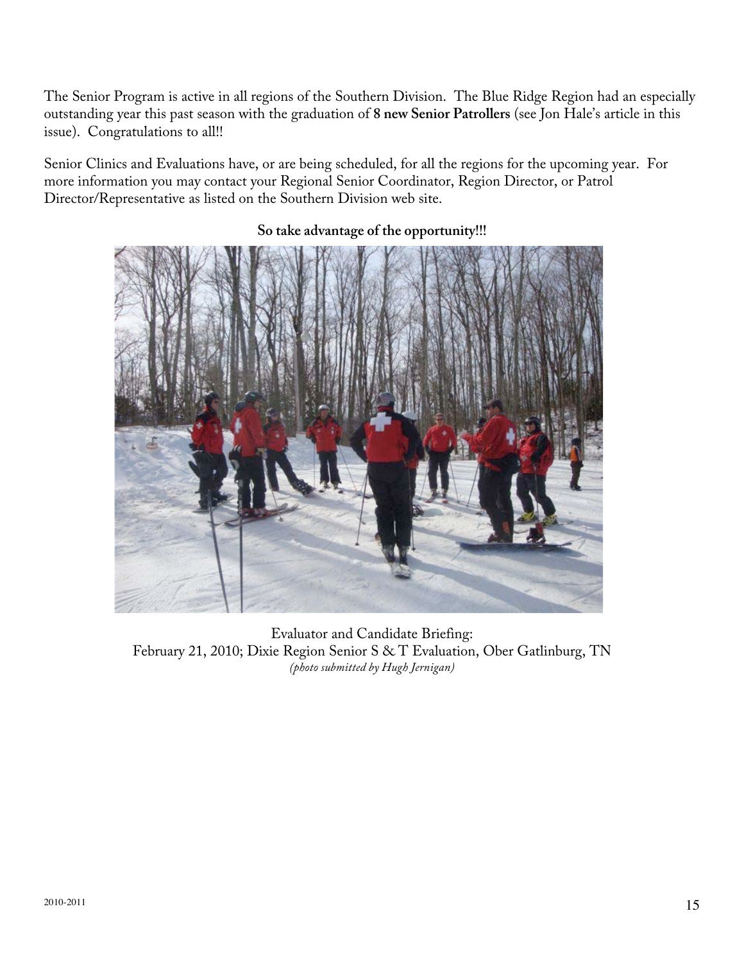The Senior Program is active in all regions of the Southern Division. The Blue Ridge Region had an especially outstanding year this past season with the graduation of **8 new Senior Patrollers** (see Jon Hale's article in this issue). Congratulations to all!!

Senior Clinics and Evaluations have, or are being scheduled, for all the regions for the upcoming year. For more information you may contact your Regional Senior Coordinator, Region Director, or Patrol Director/Representative as listed on the Southern Division web site.



#### **So take advantage of the opportunity!!!**

Evaluator and Candidate Briefing: February 21, 2010; Dixie Region Senior S & T Evaluation, Ober Gatlinburg, TN *(photo submitted by Hugh Jernigan)*